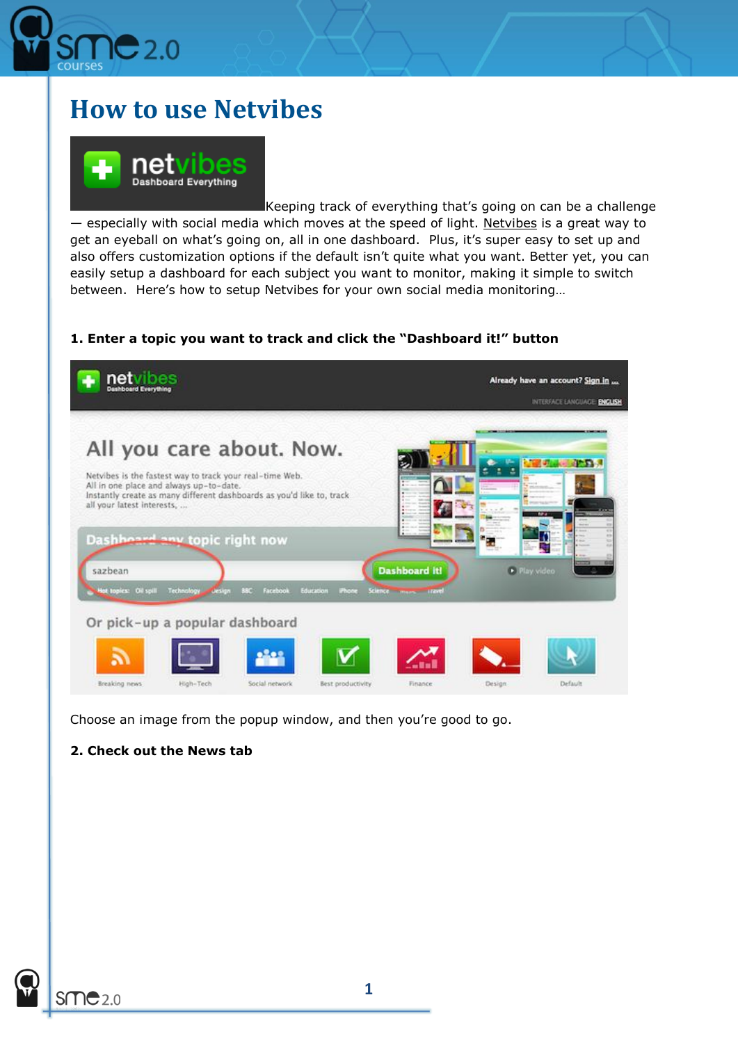

# **How to use Netvibes**



Keeping track of everything that's going on can be a challenge — especially with social media which moves at the speed of light. [Netvibes](http://netvibes.com/) is a great way to get an eyeball on what's going on, all in one dashboard. Plus, it's super easy to set up and also offers customization options if the default isn't quite what you want. Better yet, you can easily setup a dashboard for each subject you want to monitor, making it simple to switch between. Here's how to setup Netvibes for your own social media monitoring…

### **1. Enter a topic you want to track and click the "Dashboard it!" button**



Choose an image from the popup window, and then you're good to go.

# **2. Check out the News tab**

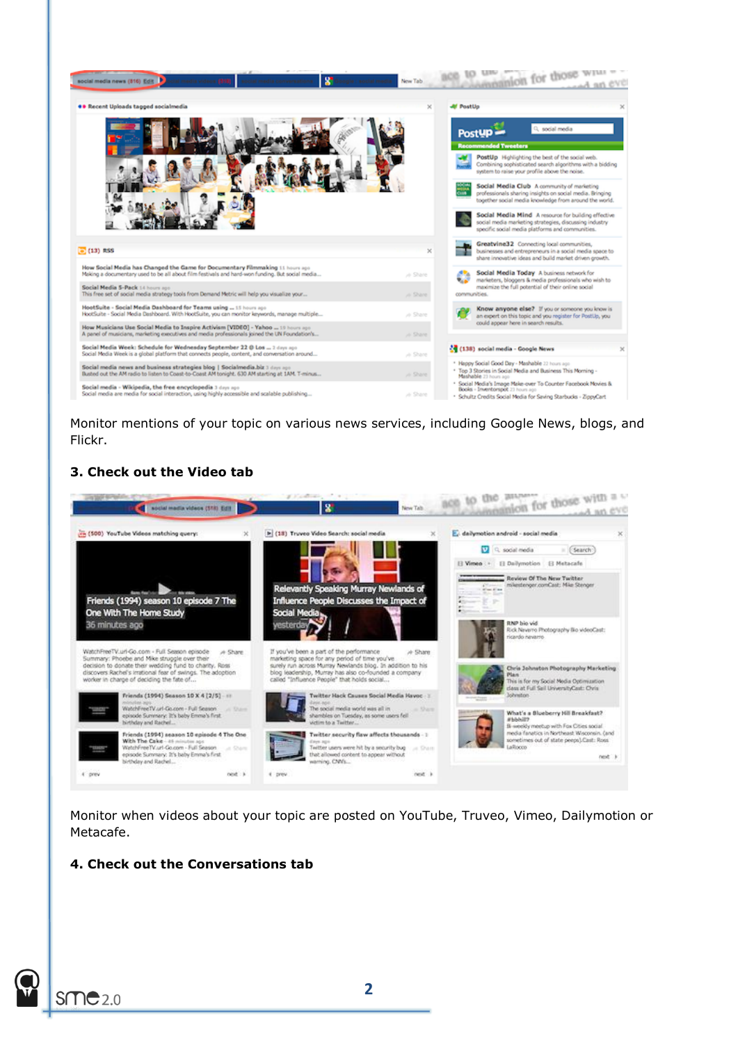

Monitor mentions of your topic on various news services, including Google News, blogs, and Flickr.

#### **3. Check out the Video tab**



Monitor when videos about your topic are posted on YouTube, Truveo, Vimeo, Dailymotion or Metacafe.

#### **4. Check out the Conversations tab**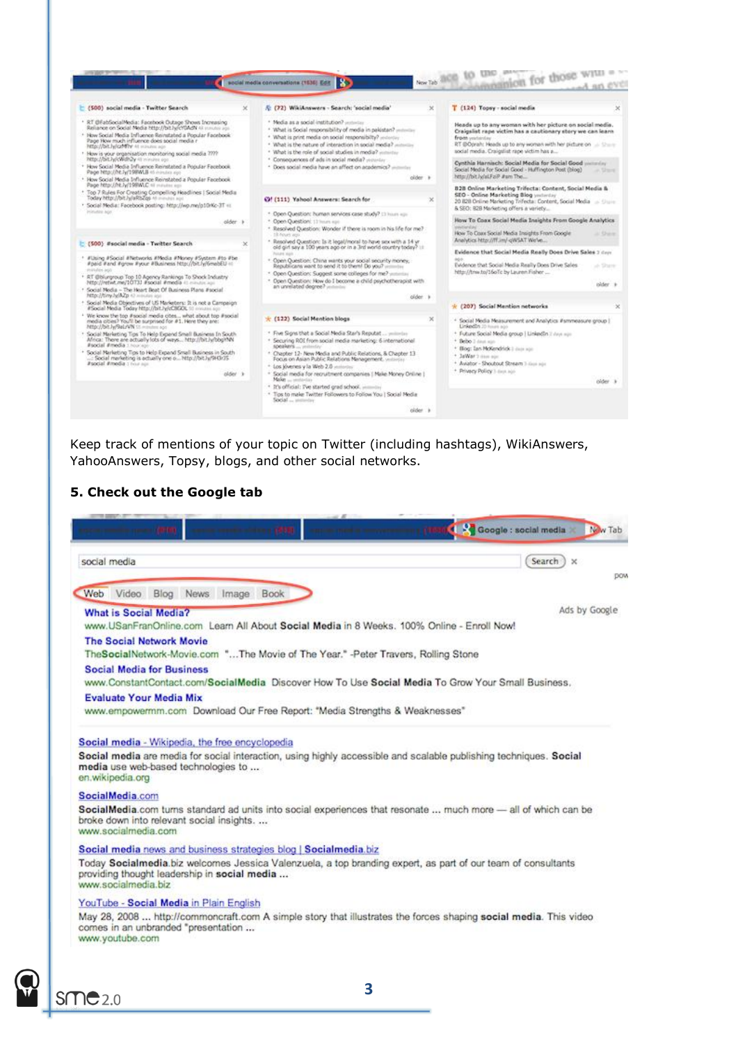

Keep track of mentions of your topic on Twitter (including hashtags), WikiAnswers, YahooAnswers, Topsy, blogs, and other social networks.

#### **5. Check out the Google tab**

| social media                                                                                                                                                                        | Search<br>$\times$ |
|-------------------------------------------------------------------------------------------------------------------------------------------------------------------------------------|--------------------|
| Web<br>Video Blog News Image Book                                                                                                                                                   |                    |
| <b>What is Social Media?</b>                                                                                                                                                        | Ads by Google      |
| www.USanFranOnline.com Learn All About Social Media in 8 Weeks, 100% Online - Enroll Now!                                                                                           |                    |
| <b>The Social Network Movie</b>                                                                                                                                                     |                    |
| TheSocialNetwork-Movie.com "The Movie of The Year." -Peter Travers, Rolling Stone                                                                                                   |                    |
| <b>Social Media for Business</b><br>www.ConstantContact.com/SocialMedia Discover How To Use Social Media To Grow Your Small Business.                                               |                    |
| <b>Evaluate Your Media Mix</b>                                                                                                                                                      |                    |
| www.empowermm.com Download Our Free Report: "Media Strengths & Weaknesses"                                                                                                          |                    |
| Social media are media for social interaction, using highly accessible and scalable publishing techniques. Social<br>media use web-based technologies to<br>en.wikipedia.org        |                    |
| SocialMedia.com                                                                                                                                                                     |                    |
| SocialMedia.com turns standard ad units into social experiences that resonate  much more - all of which can be<br>broke down into relevant social insights.<br>www.socialmedia.com  |                    |
| Social media news and business strategies blog   Socialmedia.biz                                                                                                                    |                    |
| Today Socialmedia.biz welcomes Jessica Valenzuela, a top branding expert, as part of our team of consultants<br>providing thought leadership in social media<br>www.socialmedia.biz |                    |
| YouTube - Social Media in Plain English                                                                                                                                             |                    |
| May 28, 2008  http://commoncraft.com A simple story that illustrates the forces shaping social media. This video<br>comes in an unbranded "presentation                             |                    |

 $S<sub>MC</sub>$ 2.0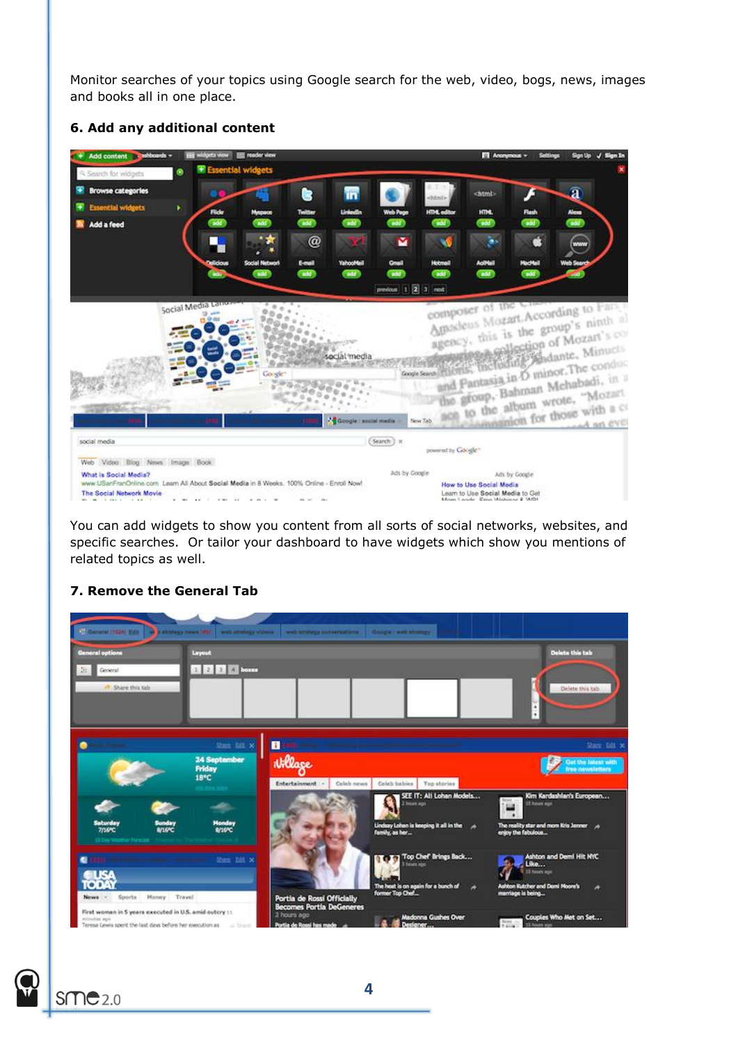Monitor searches of your topics using Google search for the web, video, bogs, news, images and books all in one place.



#### **6. Add any additional content**

You can add widgets to show you content from all sorts of social networks, websites, and specific searches. Or tailor your dashboard to have widgets which show you mentions of related topics as well.

#### **7. Remove the General Tab**

| <b>C. General (1924) Edit</b>                                                                                                          | <b>District opponent (48)</b><br>web strategy videos           | with attaining announcements.                                 | Google : web strategy                                                                                      |                                                                                                                               |
|----------------------------------------------------------------------------------------------------------------------------------------|----------------------------------------------------------------|---------------------------------------------------------------|------------------------------------------------------------------------------------------------------------|-------------------------------------------------------------------------------------------------------------------------------|
| General options                                                                                                                        | Layout                                                         |                                                               |                                                                                                            | Delate this tab                                                                                                               |
| General<br><sup>4</sup> Share this tab                                                                                                 | 1 2 3 4 boxes                                                  |                                                               |                                                                                                            | Delete this tab                                                                                                               |
|                                                                                                                                        | then the so-                                                   | П                                                             |                                                                                                            | Stare field X                                                                                                                 |
|                                                                                                                                        | <b>24 September</b><br><b>Friday</b><br>18°C<br>one show town. | Willage<br><b>Entertainment</b><br>Celeb news                 | Celeb babies Top stories                                                                                   | Get the latest with<br>free newsletters                                                                                       |
| <b>Saturday</b><br><b>Sunday</b><br><b>B/16YC</b><br><b>7/169C</b><br>13 Day Visualhar Renocast                                        | Monday<br>8/1690                                               |                                                               | SEE IT: All Lohan Models<br><b>Nourt pop</b><br>Lindsay Lohan is keeping it all in the A<br>family, as her | Kim Kardashian's European<br><b>News</b><br>15 hours ago<br>鹽<br>The reality star and mom Kris Jenner /<br>enjoy the fabulous |
| usa<br>TODAY<br>News -<br>Sports Money Travel                                                                                          | Shep fill x                                                    | Portia de Rossi Officially<br><b>Becomes Portia DeGeneres</b> | 1. In Top Chef Brings Back<br>3 hours ago<br>The heat is on again for a bunch of<br>×<br>former Top Chef   | Ashbon and Demi Hit NYC<br>Like<br><b>I</b> 15 hours age:<br>Ashton Kutcher and Demi Moore's<br>۰<br>marriage is being        |
| First woman in 5 years executed in U.S. amid outcry 11.<br>relevators were<br>Teresa Lewis spent the last days before her execution as | a Shire                                                        | 2 hours ago<br>Portia de Rossi has made                       | <b>Madonna Gushes Over</b><br>Designer                                                                     | Couples Who Met on Set<br>24001<br>15 Round ago                                                                               |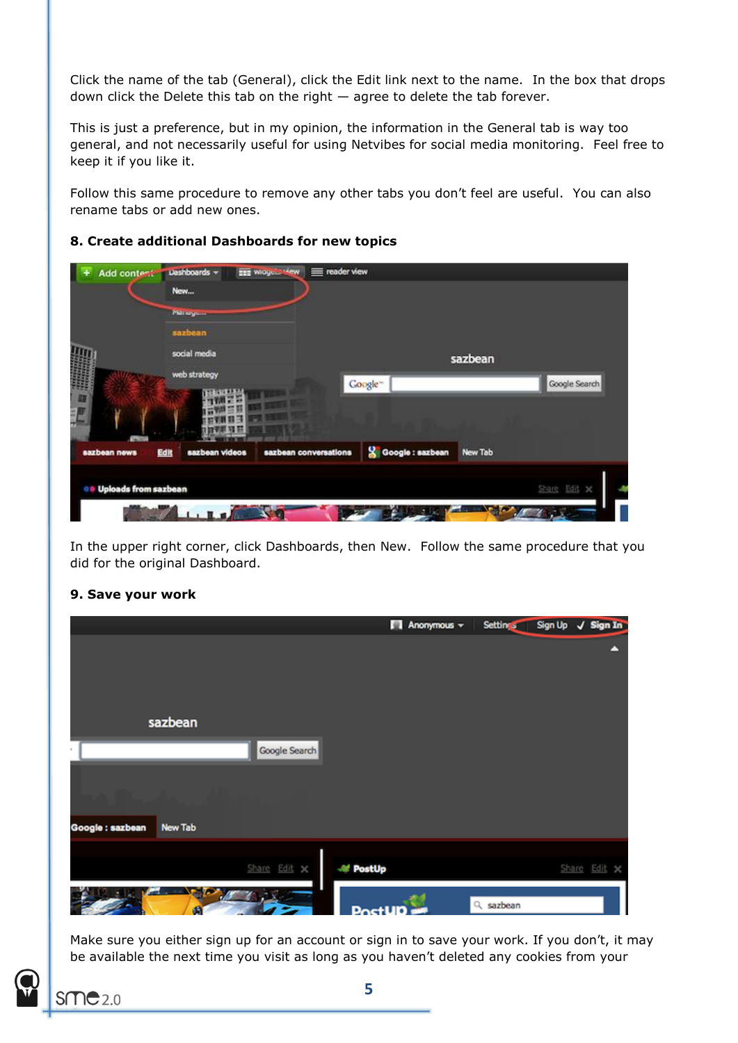Click the name of the tab (General), click the Edit link next to the name. In the box that drops down click the Delete this tab on the right — agree to delete the tab forever.

This is just a preference, but in my opinion, the information in the General tab is way too general, and not necessarily useful for using Netvibes for social media monitoring. Feel free to keep it if you like it.

Follow this same procedure to remove any other tabs you don't feel are useful. You can also rename tabs or add new ones.

| <b>Planugum</b><br>sazbean |                                                               |                       |                                      |                    |
|----------------------------|---------------------------------------------------------------|-----------------------|--------------------------------------|--------------------|
|                            |                                                               |                       |                                      |                    |
|                            |                                                               |                       |                                      |                    |
| social media               |                                                               |                       |                                      |                    |
|                            |                                                               |                       |                                      | Google Search      |
|                            |                                                               |                       |                                      |                    |
|                            |                                                               |                       |                                      |                    |
|                            |                                                               |                       |                                      |                    |
|                            |                                                               |                       |                                      | Share Edit x       |
|                            | web strategy<br>sazbean videos<br><b>Uploads from sazbean</b> | sazbean conversations | Coogle~<br><b>S</b> Google : sazbean | sazbean<br>New Tab |

# **8. Create additional Dashboards for new topics**

In the upper right corner, click Dashboards, then New. Follow the same procedure that you did for the original Dashboard.

# $\blacksquare$  Anonymous  $\blacktriangledown$ Settings Sign Up / Sign In sazbean Google Search Google : sazbean **New Tab M** PostUp Share Edit > sazbean

**9. Save your work**

Make sure you either sign up for an account or sign in to save your work. If you don't, it may be available the next time you visit as long as you haven't deleted any cookies from your